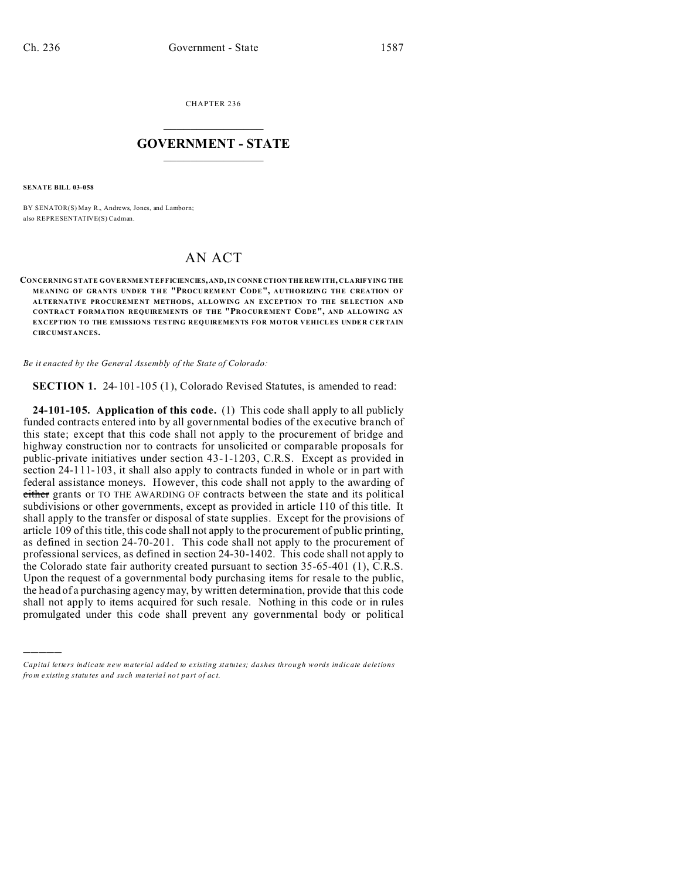CHAPTER 236  $\overline{\phantom{a}}$  , where  $\overline{\phantom{a}}$ 

## **GOVERNMENT - STATE**  $\_$   $\_$   $\_$   $\_$   $\_$   $\_$   $\_$   $\_$   $\_$

**SENATE BILL 03-058**

)))))

BY SENATOR(S) May R., Andrews, Jones, and Lamborn; also REPRESENTATIVE(S) Cadman.

## AN ACT

**CONCERNING STATE GOVERNMENT EFFICIENCIES, AND, IN CONNE CTION THE REW ITH, CLARIFYING THE MEANING OF GRANTS UNDER THE "PROCU REMENT CODE", AUTHORIZING THE CREATION OF ALTERNATIVE PROCUREME NT METHODS, ALLOWING AN EXCEPTION TO THE SELECTION AND CONTRACT FORMATION REQUIREMENTS OF THE "PROCUREMEN T CODE", AND ALLOWING AN EXCEPTION TO THE EMISSIONS TESTING REQUIREMENTS FOR MOTOR VEHICLES UNDER CERTAIN CIRCUMSTANCES.**

*Be it enacted by the General Assembly of the State of Colorado:*

**SECTION 1.** 24-101-105 (1), Colorado Revised Statutes, is amended to read:

**24-101-105. Application of this code.** (1) This code shall apply to all publicly funded contracts entered into by all governmental bodies of the executive branch of this state; except that this code shall not apply to the procurement of bridge and highway construction nor to contracts for unsolicited or comparable proposals for public-private initiatives under section 43-1-1203, C.R.S. Except as provided in section 24-111-103, it shall also apply to contracts funded in whole or in part with federal assistance moneys. However, this code shall not apply to the awarding of either grants or TO THE AWARDING OF contracts between the state and its political subdivisions or other governments, except as provided in article 110 of this title. It shall apply to the transfer or disposal of state supplies. Except for the provisions of article 109 of this title, this code shall not apply to the procurement of public printing, as defined in section 24-70-201. This code shall not apply to the procurement of professional services, as defined in section 24-30-1402. This code shall not apply to the Colorado state fair authority created pursuant to section 35-65-401 (1), C.R.S. Upon the request of a governmental body purchasing items for resale to the public, the head of a purchasing agency may, by written determination, provide that this code shall not apply to items acquired for such resale. Nothing in this code or in rules promulgated under this code shall prevent any governmental body or political

*Capital letters indicate new material added to existing statutes; dashes through words indicate deletions from e xistin g statu tes a nd such ma teria l no t pa rt of ac t.*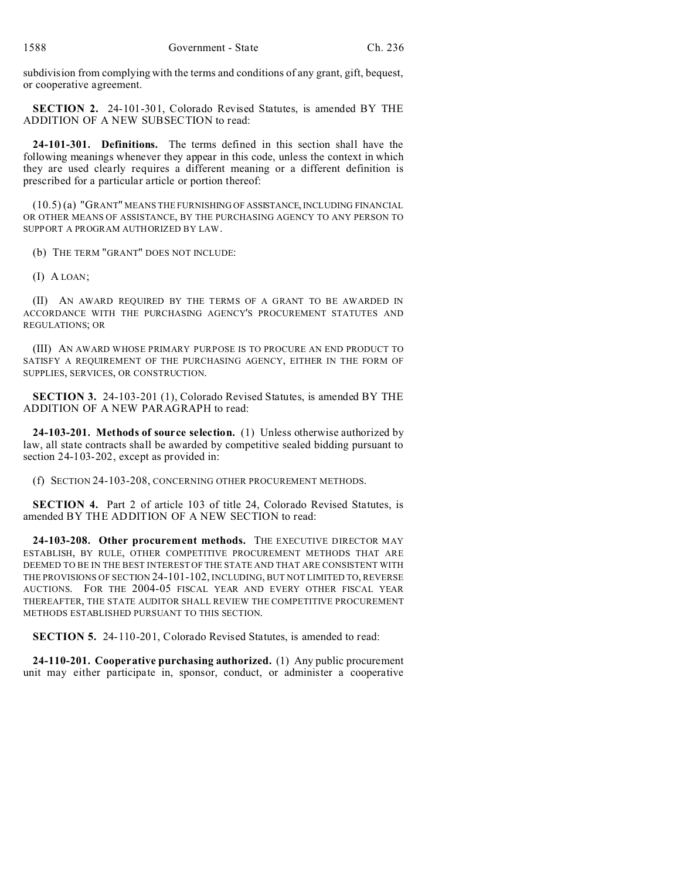subdivision from complying with the terms and conditions of any grant, gift, bequest, or cooperative agreement.

**SECTION 2.** 24-101-301, Colorado Revised Statutes, is amended BY THE ADDITION OF A NEW SUBSECTION to read:

**24-101-301. Definitions.** The terms defined in this section shall have the following meanings whenever they appear in this code, unless the context in which they are used clearly requires a different meaning or a different definition is prescribed for a particular article or portion thereof:

(10.5) (a) "GRANT" MEANS THE FURNISHING OF ASSISTANCE, INCLUDING FINANCIAL OR OTHER MEANS OF ASSISTANCE, BY THE PURCHASING AGENCY TO ANY PERSON TO SUPPORT A PROGRAM AUTHORIZED BY LAW.

(b) THE TERM "GRANT" DOES NOT INCLUDE:

(I) A LOAN;

(II) AN AWARD REQUIRED BY THE TERMS OF A GRANT TO BE AWARDED IN ACCORDANCE WITH THE PURCHASING AGENCY'S PROCUREMENT STATUTES AND REGULATIONS; OR

(III) AN AWARD WHOSE PRIMARY PURPOSE IS TO PROCURE AN END PRODUCT TO SATISFY A REQUIREMENT OF THE PURCHASING AGENCY, EITHER IN THE FORM OF SUPPLIES, SERVICES, OR CONSTRUCTION.

**SECTION 3.** 24-103-201 (1), Colorado Revised Statutes, is amended BY THE ADDITION OF A NEW PARAGRAPH to read:

**24-103-201. Methods of source selection.** (1) Unless otherwise authorized by law, all state contracts shall be awarded by competitive sealed bidding pursuant to section 24-103-202, except as provided in:

(f) SECTION 24-103-208, CONCERNING OTHER PROCUREMENT METHODS.

**SECTION 4.** Part 2 of article 103 of title 24, Colorado Revised Statutes, is amended BY THE ADDITION OF A NEW SECTION to read:

**24-103-208. Other procurement methods.** THE EXECUTIVE DIRECTOR MAY ESTABLISH, BY RULE, OTHER COMPETITIVE PROCUREMENT METHODS THAT ARE DEEMED TO BE IN THE BEST INTEREST OF THE STATE AND THAT ARE CONSISTENT WITH THE PROVISIONS OF SECTION 24-101-102, INCLUDING, BUT NOT LIMITED TO, REVERSE AUCTIONS. FOR THE 2004-05 FISCAL YEAR AND EVERY OTHER FISCAL YEAR THEREAFTER, THE STATE AUDITOR SHALL REVIEW THE COMPETITIVE PROCUREMENT METHODS ESTABLISHED PURSUANT TO THIS SECTION.

**SECTION 5.** 24-110-201, Colorado Revised Statutes, is amended to read:

**24-110-201. Cooperative purchasing authorized.** (1) Any public procurement unit may either participate in, sponsor, conduct, or administer a cooperative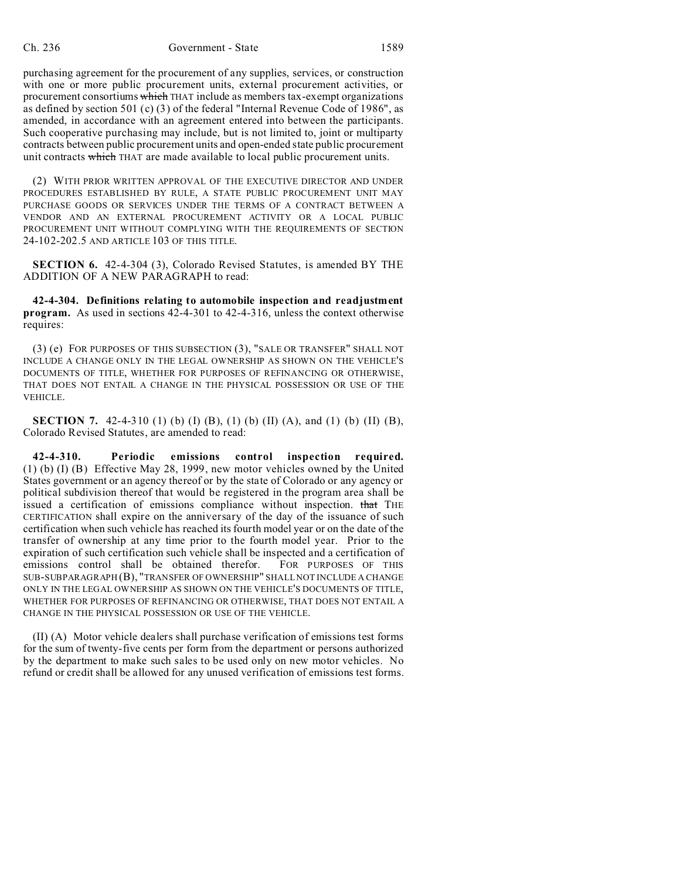purchasing agreement for the procurement of any supplies, services, or construction with one or more public procurement units, external procurement activities, or procurement consortiums which THAT include as members tax-exempt organizations as defined by section 501 (c) (3) of the federal "Internal Revenue Code of 1986", as amended, in accordance with an agreement entered into between the participants. Such cooperative purchasing may include, but is not limited to, joint or multiparty contracts between public procurement units and open-ended state public procurement unit contracts which THAT are made available to local public procurement units.

(2) WITH PRIOR WRITTEN APPROVAL OF THE EXECUTIVE DIRECTOR AND UNDER PROCEDURES ESTABLISHED BY RULE, A STATE PUBLIC PROCUREMENT UNIT MAY PURCHASE GOODS OR SERVICES UNDER THE TERMS OF A CONTRACT BETWEEN A VENDOR AND AN EXTERNAL PROCUREMENT ACTIVITY OR A LOCAL PUBLIC PROCUREMENT UNIT WITHOUT COMPLYING WITH THE REQUIREMENTS OF SECTION 24-102-202.5 AND ARTICLE 103 OF THIS TITLE.

**SECTION 6.** 42-4-304 (3), Colorado Revised Statutes, is amended BY THE ADDITION OF A NEW PARAGRAPH to read:

**42-4-304. Definitions relating to automobile inspection and readjustment program.** As used in sections 42-4-301 to 42-4-316, unless the context otherwise requires:

(3) (e) FOR PURPOSES OF THIS SUBSECTION (3), "SALE OR TRANSFER" SHALL NOT INCLUDE A CHANGE ONLY IN THE LEGAL OWNERSHIP AS SHOWN ON THE VEHICLE'S DOCUMENTS OF TITLE, WHETHER FOR PURPOSES OF REFINANCING OR OTHERWISE, THAT DOES NOT ENTAIL A CHANGE IN THE PHYSICAL POSSESSION OR USE OF THE VEHICLE.

**SECTION 7.** 42-4-310 (1) (b) (I) (B), (1) (b) (II) (A), and (1) (b) (II) (B), Colorado Revised Statutes, are amended to read:

**42-4-310. Periodic emissions control inspection required.** (1) (b) (I) (B) Effective May 28, 1999, new motor vehicles owned by the United States government or an agency thereof or by the state of Colorado or any agency or political subdivision thereof that would be registered in the program area shall be issued a certification of emissions compliance without inspection. that THE CERTIFICATION shall expire on the anniversary of the day of the issuance of such certification when such vehicle has reached its fourth model year or on the date of the transfer of ownership at any time prior to the fourth model year. Prior to the expiration of such certification such vehicle shall be inspected and a certification of emissions control shall be obtained therefor. FOR PURPOSES OF THIS SUB-SUBPARAGRAPH (B), "TRANSFER OF OWNERSHIP" SHALL NOT INCLUDE A CHANGE ONLY IN THE LEGAL OWNERSHIP AS SHOWN ON THE VEHICLE'S DOCUMENTS OF TITLE, WHETHER FOR PURPOSES OF REFINANCING OR OTHERWISE, THAT DOES NOT ENTAIL A CHANGE IN THE PHYSICAL POSSESSION OR USE OF THE VEHICLE.

(II) (A) Motor vehicle dealers shall purchase verification of emissions test forms for the sum of twenty-five cents per form from the department or persons authorized by the department to make such sales to be used only on new motor vehicles. No refund or credit shall be allowed for any unused verification of emissions test forms.